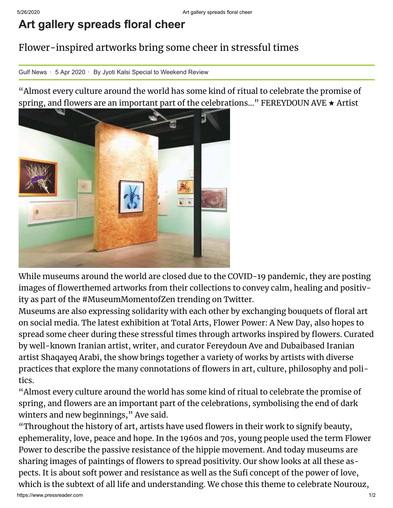## **Art gallery spreads floral cheer**

## Flower-inspired artworks bring some cheer in stressful times

Gulf News · 5 Apr 2020 · By Jyoti Kalsi Special to Weekend Review

"Almost every culture around the world has some kind of ritual to celebrate the promise of spring, and flowers are an important part of the celebrations..." FEREYDOUN AVE  $\star$  Artist



While museums around the world are closed due to the COVID-19 pandemic, they are posting images of flowerthemed artworks from their collections to convey calm, healing and positivity as part of the #MuseumMomentofZen trending on Twitter.

Museums are also expressing solidarity with each other by exchanging bouquets of floral art on social media. The latest exhibition at Total Arts, Flower Power: A New Day, also hopes to spread some cheer during these stressful times through artworks inspired by flowers. Curated by well-known Iranian artist, writer, and curator Fereydoun Ave and Dubaibased Iranian artist Shaqayeq Arabi, the show brings together a variety of works by artists with diverse practices that explore the many connotations of flowers in art, culture, philosophy and politics.

"Almost every culture around the world has some kind of ritual to celebrate the promise of spring, and flowers are an important part of the celebrations, symbolising the end of dark winters and new beginnings," Ave said.

"Throughout the history of art, artists have used flowers in their work to signify beauty, ephemerality, love, peace and hope. In the 1960s and 70s, young people used the term Flower Power to describe the passive resistance of the hippie movement. And today museums are sharing images of paintings of flowers to spread positivity. Our show looks at all these aspects. It is about soft power and resistance as well as the Sufi concept of the power of love, which is the subtext of all life and understanding. We chose this theme to celebrate Nourouz,